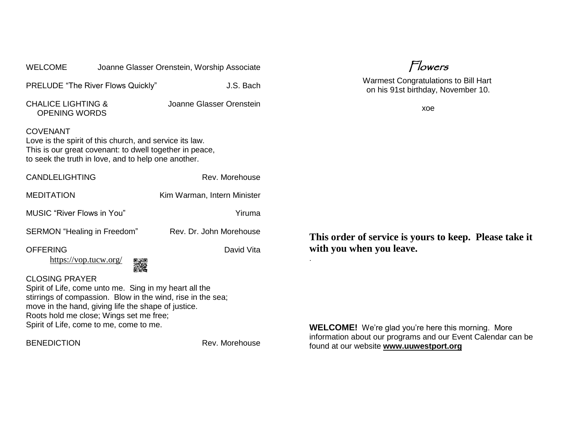| <b>WELCOME</b>                                                                                                                                                                                                                                                                              |   | Joanne Glasser Orenstein, Worship Associate | Flowers                                                                            |
|---------------------------------------------------------------------------------------------------------------------------------------------------------------------------------------------------------------------------------------------------------------------------------------------|---|---------------------------------------------|------------------------------------------------------------------------------------|
| PRELUDE "The River Flows Quickly"                                                                                                                                                                                                                                                           |   | J.S. Bach                                   | <b>Warmest Congratulations to Bill Hart</b><br>on his 91st birthday, November 10.  |
| <b>CHALICE LIGHTING &amp;</b><br><b>OPENING WORDS</b>                                                                                                                                                                                                                                       |   | Joanne Glasser Orenstein                    | xoe                                                                                |
| <b>COVENANT</b><br>Love is the spirit of this church, and service its law.<br>This is our great covenant: to dwell together in peace,<br>to seek the truth in love, and to help one another.                                                                                                |   |                                             |                                                                                    |
| <b>CANDLELIGHTING</b>                                                                                                                                                                                                                                                                       |   | Rev. Morehouse                              |                                                                                    |
| <b>MEDITATION</b>                                                                                                                                                                                                                                                                           |   | Kim Warman, Intern Minister                 |                                                                                    |
| <b>MUSIC</b> "River Flows in You"                                                                                                                                                                                                                                                           |   | Yiruma                                      |                                                                                    |
| SERMON "Healing in Freedom"                                                                                                                                                                                                                                                                 |   | Rev. Dr. John Morehouse                     | This order of service is yours to keep. Please take it<br>with you when you leave. |
| <b>OFFERING</b><br>https://vop.tucw.org/                                                                                                                                                                                                                                                    | 霧 | David Vita                                  |                                                                                    |
| <b>CLOSING PRAYER</b><br>Spirit of Life, come unto me. Sing in my heart all the<br>stirrings of compassion. Blow in the wind, rise in the sea;<br>move in the hand, giving life the shape of justice.<br>Roots hold me close; Wings set me free;<br>Spirit of Life, come to me, come to me. |   |                                             | <b>WELCOME!</b> We're glad you're here this morning. More                          |
|                                                                                                                                                                                                                                                                                             |   |                                             | information about our programs and our Event Calendar can be                       |

BENEDICTION Rev. Morehouse

information about our programs and our Event Calendar can be found at our website **[www.uuwestport.org](http://www.uuwestport.org/)**